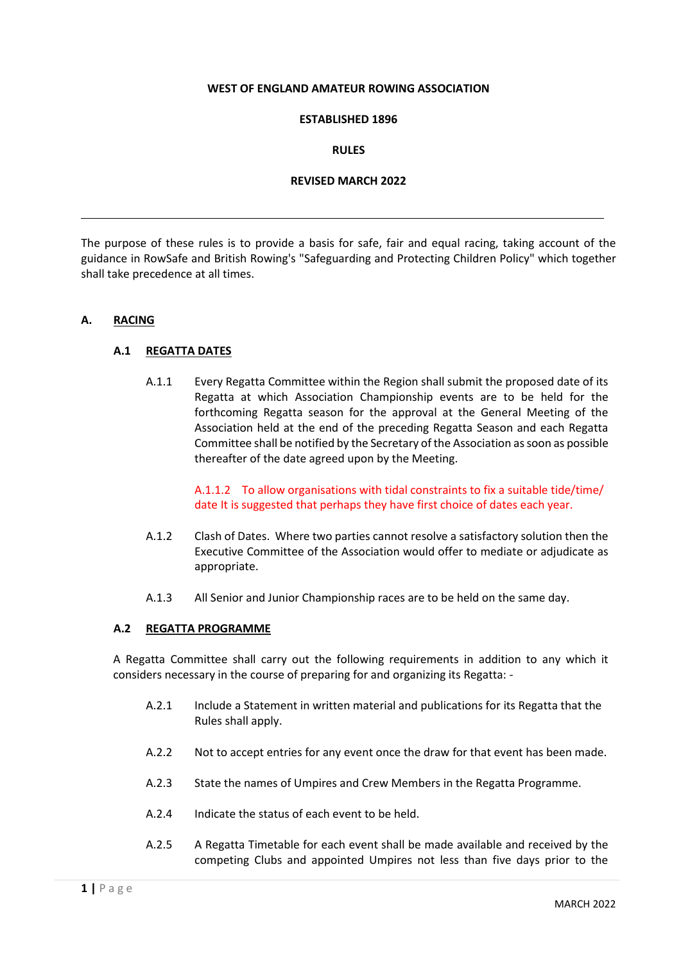#### **WEST OF ENGLAND AMATEUR ROWING ASSOCIATION**

### **ESTABLISHED 1896**

#### **RULES**

### **REVISED MARCH 2022**

The purpose of these rules is to provide a basis for safe, fair and equal racing, taking account of the guidance in RowSafe and British Rowing's "Safeguarding and Protecting Children Policy" which together shall take precedence at all times.

#### **A. RACING**

#### **A.1 REGATTA DATES**

A.1.1 Every Regatta Committee within the Region shall submit the proposed date of its Regatta at which Association Championship events are to be held for the forthcoming Regatta season for the approval at the General Meeting of the Association held at the end of the preceding Regatta Season and each Regatta Committee shall be notified by the Secretary of the Association as soon as possible thereafter of the date agreed upon by the Meeting.

> A.1.1.2 To allow organisations with tidal constraints to fix a suitable tide/time/ date It is suggested that perhaps they have first choice of dates each year.

- A.1.2 Clash of Dates. Where two parties cannot resolve a satisfactory solution then the Executive Committee of the Association would offer to mediate or adjudicate as appropriate.
- A.1.3 All Senior and Junior Championship races are to be held on the same day.

#### **A.2 REGATTA PROGRAMME**

A Regatta Committee shall carry out the following requirements in addition to any which it considers necessary in the course of preparing for and organizing its Regatta: -

- A.2.1 Include a Statement in written material and publications for its Regatta that the Rules shall apply.
- A.2.2 Not to accept entries for any event once the draw for that event has been made.
- A.2.3 State the names of Umpires and Crew Members in the Regatta Programme.
- A.2.4 Indicate the status of each event to be held.
- A.2.5 A Regatta Timetable for each event shall be made available and received by the competing Clubs and appointed Umpires not less than five days prior to the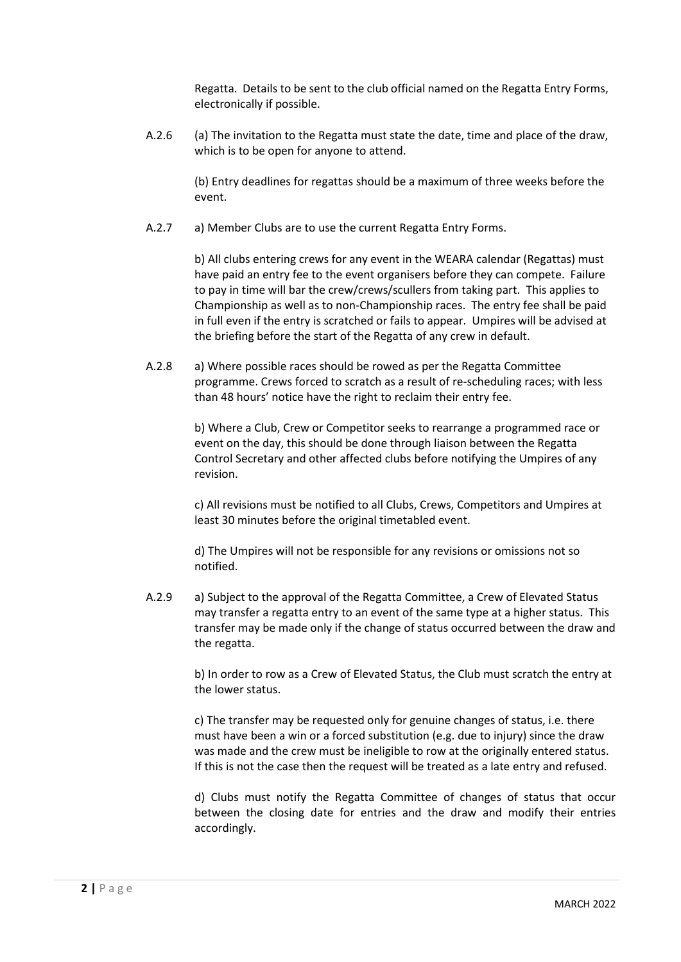Regatta. Details to be sent to the club official named on the Regatta Entry Forms, electronically if possible.

A.2.6 (a) The invitation to the Regatta must state the date, time and place of the draw, which is to be open for anyone to attend.

> (b) Entry deadlines for regattas should be a maximum of three weeks before the event.

A.2.7 a) Member Clubs are to use the current Regatta Entry Forms.

b) All clubs entering crews for any event in the WEARA calendar (Regattas) must have paid an entry fee to the event organisers before they can compete. Failure to pay in time will bar the crew/crews/scullers from taking part. This applies to Championship as well as to non-Championship races. The entry fee shall be paid in full even if the entry is scratched or fails to appear. Umpires will be advised at the briefing before the start of the Regatta of any crew in default.

A.2.8 a) Where possible races should be rowed as per the Regatta Committee programme. Crews forced to scratch as a result of re-scheduling races; with less than 48 hours' notice have the right to reclaim their entry fee.

> b) Where a Club, Crew or Competitor seeks to rearrange a programmed race or event on the day, this should be done through liaison between the Regatta Control Secretary and other affected clubs before notifying the Umpires of any revision.

> c) All revisions must be notified to all Clubs, Crews, Competitors and Umpires at least 30 minutes before the original timetabled event.

d) The Umpires will not be responsible for any revisions or omissions not so notified.

A.2.9 a) Subject to the approval of the Regatta Committee, a Crew of Elevated Status may transfer a regatta entry to an event of the same type at a higher status. This transfer may be made only if the change of status occurred between the draw and the regatta.

> b) In order to row as a Crew of Elevated Status, the Club must scratch the entry at the lower status.

> c) The transfer may be requested only for genuine changes of status, i.e. there must have been a win or a forced substitution (e.g. due to injury) since the draw was made and the crew must be ineligible to row at the originally entered status. If this is not the case then the request will be treated as a late entry and refused.

d) Clubs must notify the Regatta Committee of changes of status that occur between the closing date for entries and the draw and modify their entries accordingly.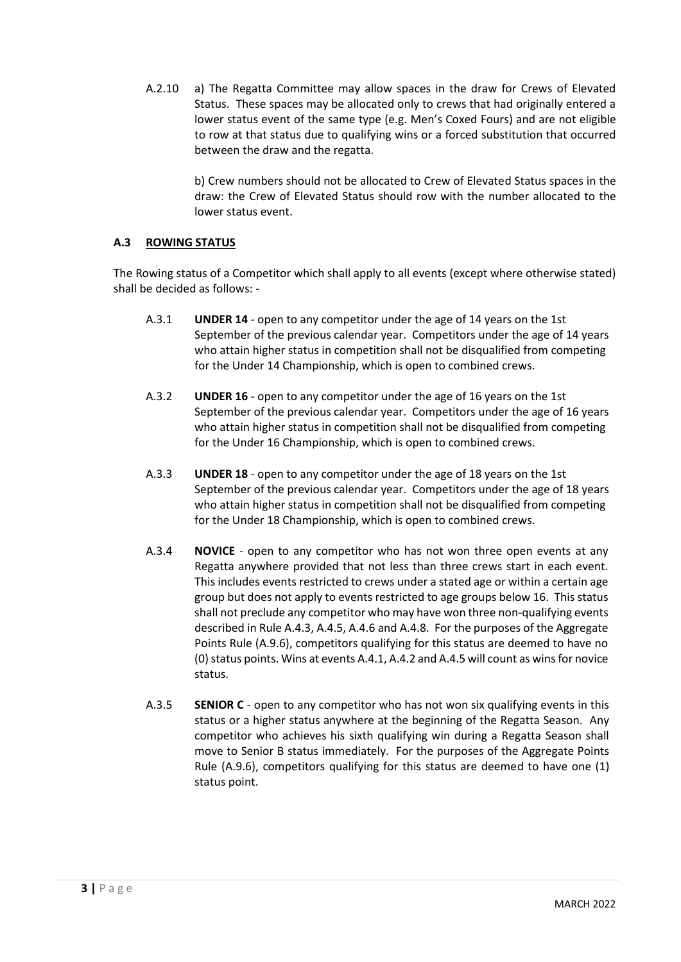A.2.10 a) The Regatta Committee may allow spaces in the draw for Crews of Elevated Status. These spaces may be allocated only to crews that had originally entered a lower status event of the same type (e.g. Men's Coxed Fours) and are not eligible to row at that status due to qualifying wins or a forced substitution that occurred between the draw and the regatta.

> b) Crew numbers should not be allocated to Crew of Elevated Status spaces in the draw: the Crew of Elevated Status should row with the number allocated to the lower status event.

# **A.3 ROWING STATUS**

The Rowing status of a Competitor which shall apply to all events (except where otherwise stated) shall be decided as follows: -

- A.3.1 **UNDER 14**  open to any competitor under the age of 14 years on the 1st September of the previous calendar year. Competitors under the age of 14 years who attain higher status in competition shall not be disqualified from competing for the Under 14 Championship, which is open to combined crews.
- A.3.2 **UNDER 16**  open to any competitor under the age of 16 years on the 1st September of the previous calendar year. Competitors under the age of 16 years who attain higher status in competition shall not be disqualified from competing for the Under 16 Championship, which is open to combined crews.
- A.3.3 **UNDER 18**  open to any competitor under the age of 18 years on the 1st September of the previous calendar year. Competitors under the age of 18 years who attain higher status in competition shall not be disqualified from competing for the Under 18 Championship, which is open to combined crews.
- A.3.4 **NOVICE**  open to any competitor who has not won three open events at any Regatta anywhere provided that not less than three crews start in each event. This includes events restricted to crews under a stated age or within a certain age group but does not apply to events restricted to age groups below 16. This status shall not preclude any competitor who may have won three non-qualifying events described in Rule A.4.3, A.4.5, A.4.6 and A.4.8. For the purposes of the Aggregate Points Rule (A.9.6), competitors qualifying for this status are deemed to have no (0) status points. Wins at events A.4.1, A.4.2 and A.4.5 will count as wins for novice status.
- A.3.5 **SENIOR C** open to any competitor who has not won six qualifying events in this status or a higher status anywhere at the beginning of the Regatta Season. Any competitor who achieves his sixth qualifying win during a Regatta Season shall move to Senior B status immediately. For the purposes of the Aggregate Points Rule (A.9.6), competitors qualifying for this status are deemed to have one (1) status point.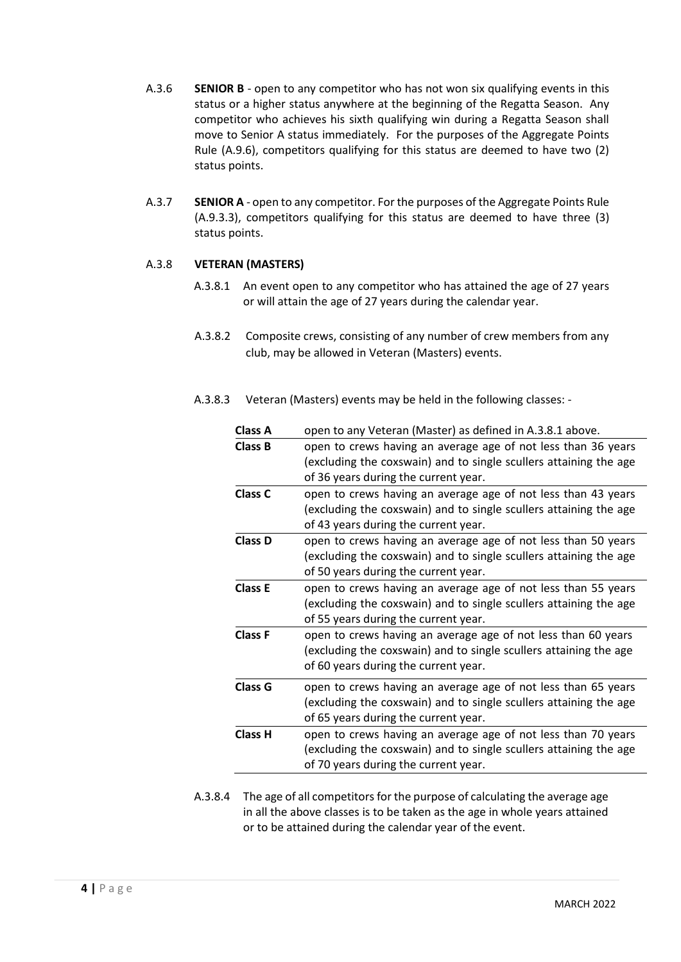- A.3.6 **SENIOR B**  open to any competitor who has not won six qualifying events in this status or a higher status anywhere at the beginning of the Regatta Season. Any competitor who achieves his sixth qualifying win during a Regatta Season shall move to Senior A status immediately. For the purposes of the Aggregate Points Rule (A.9.6), competitors qualifying for this status are deemed to have two (2) status points.
- A.3.7 **SENIOR A**  open to any competitor. For the purposes of the Aggregate Points Rule (A.9.3.3), competitors qualifying for this status are deemed to have three (3) status points.

## A.3.8 **VETERAN (MASTERS)**

- A.3.8.1 An event open to any competitor who has attained the age of 27 years or will attain the age of 27 years during the calendar year.
- A.3.8.2 Composite crews, consisting of any number of crew members from any club, may be allowed in Veteran (Masters) events.
- A.3.8.3 Veteran (Masters) events may be held in the following classes: -

| <b>Class A</b> | open to any Veteran (Master) as defined in A.3.8.1 above.         |  |  |  |  |
|----------------|-------------------------------------------------------------------|--|--|--|--|
| <b>Class B</b> | open to crews having an average age of not less than 36 years     |  |  |  |  |
|                | (excluding the coxswain) and to single scullers attaining the age |  |  |  |  |
|                | of 36 years during the current year.                              |  |  |  |  |
| Class C        | open to crews having an average age of not less than 43 years     |  |  |  |  |
|                | (excluding the coxswain) and to single scullers attaining the age |  |  |  |  |
|                | of 43 years during the current year.                              |  |  |  |  |
| <b>Class D</b> | open to crews having an average age of not less than 50 years     |  |  |  |  |
|                | (excluding the coxswain) and to single scullers attaining the age |  |  |  |  |
|                | of 50 years during the current year.                              |  |  |  |  |
| <b>Class E</b> | open to crews having an average age of not less than 55 years     |  |  |  |  |
|                | (excluding the coxswain) and to single scullers attaining the age |  |  |  |  |
|                | of 55 years during the current year.                              |  |  |  |  |
| <b>Class F</b> | open to crews having an average age of not less than 60 years     |  |  |  |  |
|                | (excluding the coxswain) and to single scullers attaining the age |  |  |  |  |
|                | of 60 years during the current year.                              |  |  |  |  |
| <b>Class G</b> | open to crews having an average age of not less than 65 years     |  |  |  |  |
|                | (excluding the coxswain) and to single scullers attaining the age |  |  |  |  |
|                | of 65 years during the current year.                              |  |  |  |  |
| <b>Class H</b> | open to crews having an average age of not less than 70 years     |  |  |  |  |
|                | (excluding the coxswain) and to single scullers attaining the age |  |  |  |  |
|                | of 70 years during the current year.                              |  |  |  |  |
|                |                                                                   |  |  |  |  |

A.3.8.4 The age of all competitors for the purpose of calculating the average age in all the above classes is to be taken as the age in whole years attained or to be attained during the calendar year of the event.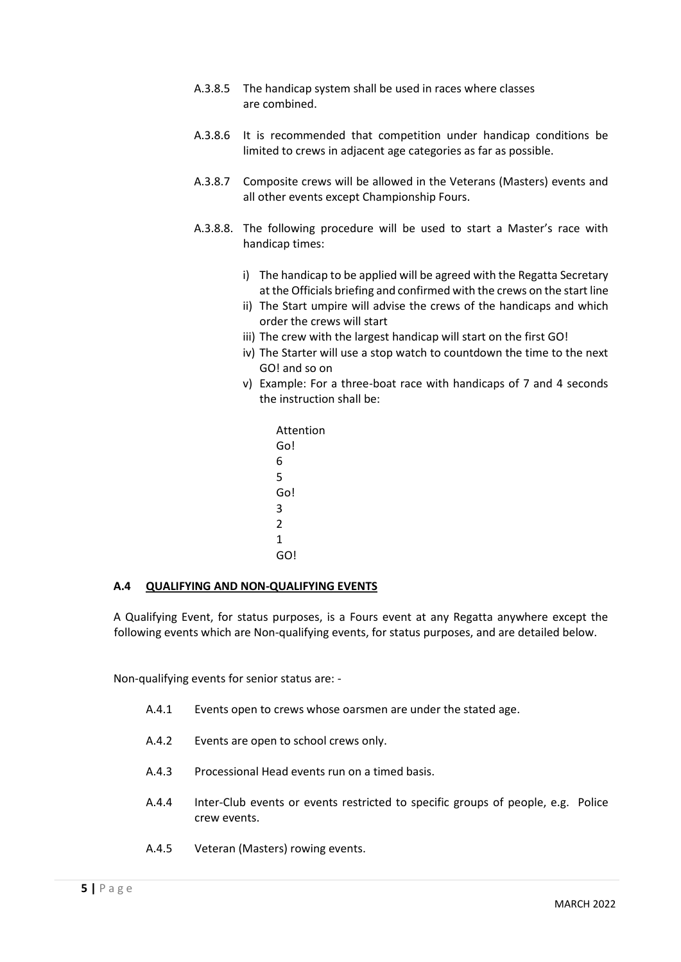- A.3.8.5 The handicap system shall be used in races where classes are combined.
- A.3.8.6 It is recommended that competition under handicap conditions be limited to crews in adjacent age categories as far as possible.
- A.3.8.7 Composite crews will be allowed in the Veterans (Masters) events and all other events except Championship Fours.
- A.3.8.8. The following procedure will be used to start a Master's race with handicap times:
	- i) The handicap to be applied will be agreed with the Regatta Secretary at the Officials briefing and confirmed with the crews on the start line
	- ii) The Start umpire will advise the crews of the handicaps and which order the crews will start
	- iii) The crew with the largest handicap will start on the first GO!
	- iv) The Starter will use a stop watch to countdown the time to the next GO! and so on
	- v) Example: For a three-boat race with handicaps of 7 and 4 seconds the instruction shall be:
		- Attention Go! 6 5 Go! 3  $\overline{2}$ 1 GO!

### **A.4 QUALIFYING AND NON-QUALIFYING EVENTS**

A Qualifying Event, for status purposes, is a Fours event at any Regatta anywhere except the following events which are Non-qualifying events, for status purposes, and are detailed below.

Non-qualifying events for senior status are: -

- A.4.1 Events open to crews whose oarsmen are under the stated age.
- A.4.2 Events are open to school crews only.
- A.4.3 Processional Head events run on a timed basis.
- A.4.4 Inter-Club events or events restricted to specific groups of people, e.g. Police crew events.
- A.4.5 Veteran (Masters) rowing events.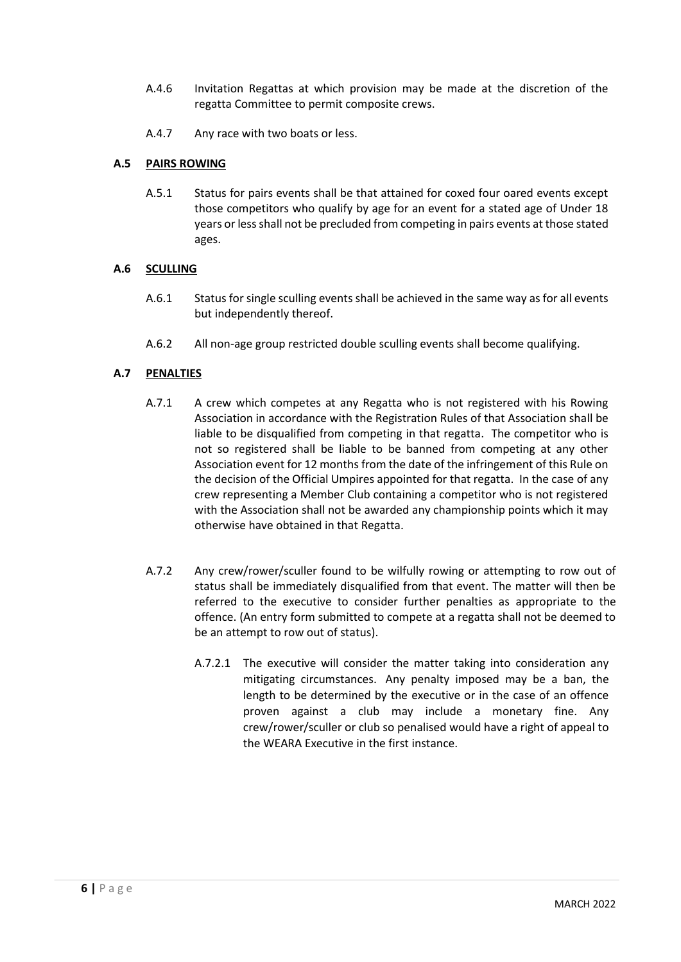- A.4.6 Invitation Regattas at which provision may be made at the discretion of the regatta Committee to permit composite crews.
- A.4.7 Any race with two boats or less.

## **A.5 PAIRS ROWING**

A.5.1 Status for pairs events shall be that attained for coxed four oared events except those competitors who qualify by age for an event for a stated age of Under 18 years or less shall not be precluded from competing in pairs events at those stated ages.

### **A.6 SCULLING**

- A.6.1 Status for single sculling events shall be achieved in the same way as for all events but independently thereof.
- A.6.2 All non-age group restricted double sculling events shall become qualifying.

# **A.7 PENALTIES**

- A.7.1 A crew which competes at any Regatta who is not registered with his Rowing Association in accordance with the Registration Rules of that Association shall be liable to be disqualified from competing in that regatta. The competitor who is not so registered shall be liable to be banned from competing at any other Association event for 12 months from the date of the infringement of this Rule on the decision of the Official Umpires appointed for that regatta. In the case of any crew representing a Member Club containing a competitor who is not registered with the Association shall not be awarded any championship points which it may otherwise have obtained in that Regatta.
- A.7.2 Any crew/rower/sculler found to be wilfully rowing or attempting to row out of status shall be immediately disqualified from that event. The matter will then be referred to the executive to consider further penalties as appropriate to the offence. (An entry form submitted to compete at a regatta shall not be deemed to be an attempt to row out of status).
	- A.7.2.1 The executive will consider the matter taking into consideration any mitigating circumstances. Any penalty imposed may be a ban, the length to be determined by the executive or in the case of an offence proven against a club may include a monetary fine. Any crew/rower/sculler or club so penalised would have a right of appeal to the WEARA Executive in the first instance.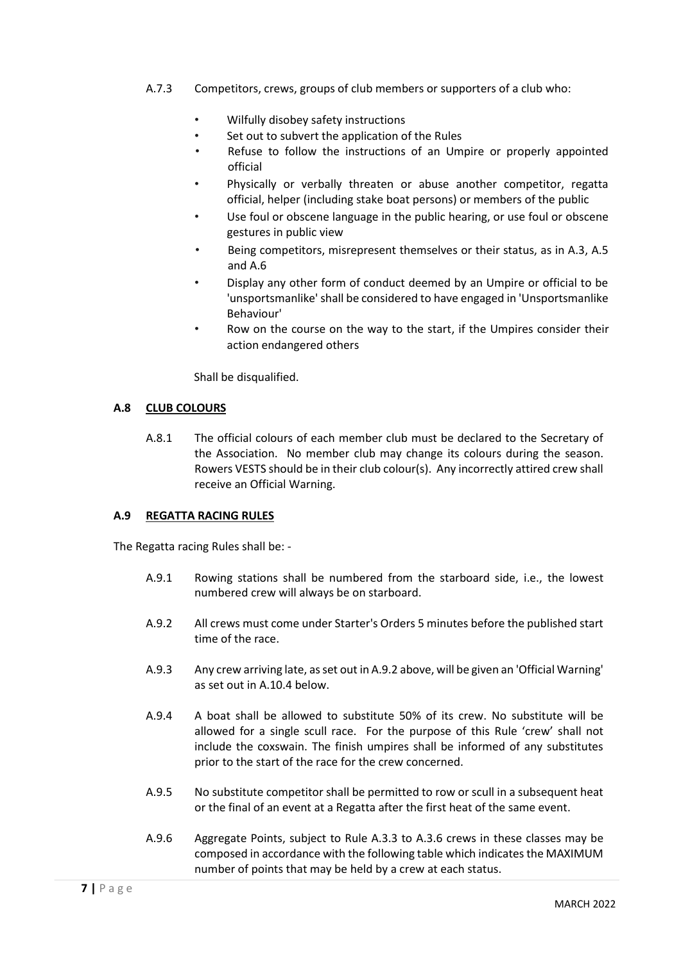- A.7.3 Competitors, crews, groups of club members or supporters of a club who:
	- Wilfully disobey safety instructions
	- Set out to subvert the application of the Rules
	- Refuse to follow the instructions of an Umpire or properly appointed official
	- Physically or verbally threaten or abuse another competitor, regatta official, helper (including stake boat persons) or members of the public
	- Use foul or obscene language in the public hearing, or use foul or obscene gestures in public view
	- Being competitors, misrepresent themselves or their status, as in A.3, A.5 and A.6
	- Display any other form of conduct deemed by an Umpire or official to be 'unsportsmanlike' shall be considered to have engaged in 'Unsportsmanlike Behaviour'
	- Row on the course on the way to the start, if the Umpires consider their action endangered others

Shall be disqualified.

### **A.8 CLUB COLOURS**

A.8.1 The official colours of each member club must be declared to the Secretary of the Association. No member club may change its colours during the season. Rowers VESTS should be in their club colour(s). Any incorrectly attired crew shall receive an Official Warning.

### **A.9 REGATTA RACING RULES**

The Regatta racing Rules shall be: -

- A.9.1 Rowing stations shall be numbered from the starboard side, i.e., the lowest numbered crew will always be on starboard.
- A.9.2 All crews must come under Starter's Orders 5 minutes before the published start time of the race.
- A.9.3 Any crew arriving late, as set out in A.9.2 above, will be given an 'Official Warning' as set out in A.10.4 below.
- A.9.4 A boat shall be allowed to substitute 50% of its crew. No substitute will be allowed for a single scull race. For the purpose of this Rule 'crew' shall not include the coxswain. The finish umpires shall be informed of any substitutes prior to the start of the race for the crew concerned.
- A.9.5 No substitute competitor shall be permitted to row or scull in a subsequent heat or the final of an event at a Regatta after the first heat of the same event.
- A.9.6 Aggregate Points, subject to Rule A.3.3 to A.3.6 crews in these classes may be composed in accordance with the following table which indicates the MAXIMUM number of points that may be held by a crew at each status.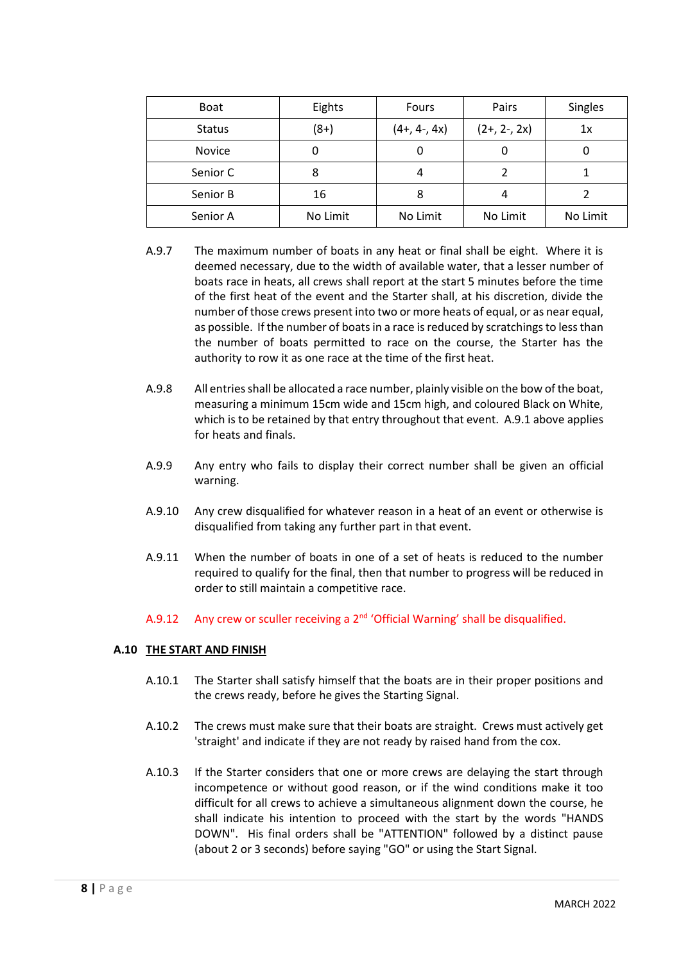| <b>Boat</b>   | Eights   | Fours          | Pairs          | <b>Singles</b> |
|---------------|----------|----------------|----------------|----------------|
| <b>Status</b> | $(8+)$   | $(4+, 4-, 4x)$ | $(2+, 2-, 2x)$ | 1x             |
| Novice        |          | 0              | 0              |                |
| Senior C      | 8        | 4              |                |                |
| Senior B      | 16       | 8              |                |                |
| Senior A      | No Limit | No Limit       | No Limit       | No Limit       |

- A.9.7 The maximum number of boats in any heat or final shall be eight. Where it is deemed necessary, due to the width of available water, that a lesser number of boats race in heats, all crews shall report at the start 5 minutes before the time of the first heat of the event and the Starter shall, at his discretion, divide the number of those crews present into two or more heats of equal, or as near equal, as possible. If the number of boats in a race is reduced by scratchings to less than the number of boats permitted to race on the course, the Starter has the authority to row it as one race at the time of the first heat.
- A.9.8 All entries shall be allocated a race number, plainly visible on the bow of the boat, measuring a minimum 15cm wide and 15cm high, and coloured Black on White, which is to be retained by that entry throughout that event. A.9.1 above applies for heats and finals.
- A.9.9 Any entry who fails to display their correct number shall be given an official warning.
- A.9.10 Any crew disqualified for whatever reason in a heat of an event or otherwise is disqualified from taking any further part in that event.
- A.9.11 When the number of boats in one of a set of heats is reduced to the number required to qualify for the final, then that number to progress will be reduced in order to still maintain a competitive race.
- A.9.12 Any crew or sculler receiving a  $2<sup>nd</sup>$  'Official Warning' shall be disqualified.

### **A.10 THE START AND FINISH**

- A.10.1 The Starter shall satisfy himself that the boats are in their proper positions and the crews ready, before he gives the Starting Signal.
- A.10.2 The crews must make sure that their boats are straight. Crews must actively get 'straight' and indicate if they are not ready by raised hand from the cox.
- A.10.3 If the Starter considers that one or more crews are delaying the start through incompetence or without good reason, or if the wind conditions make it too difficult for all crews to achieve a simultaneous alignment down the course, he shall indicate his intention to proceed with the start by the words "HANDS DOWN". His final orders shall be "ATTENTION" followed by a distinct pause (about 2 or 3 seconds) before saying "GO" or using the Start Signal.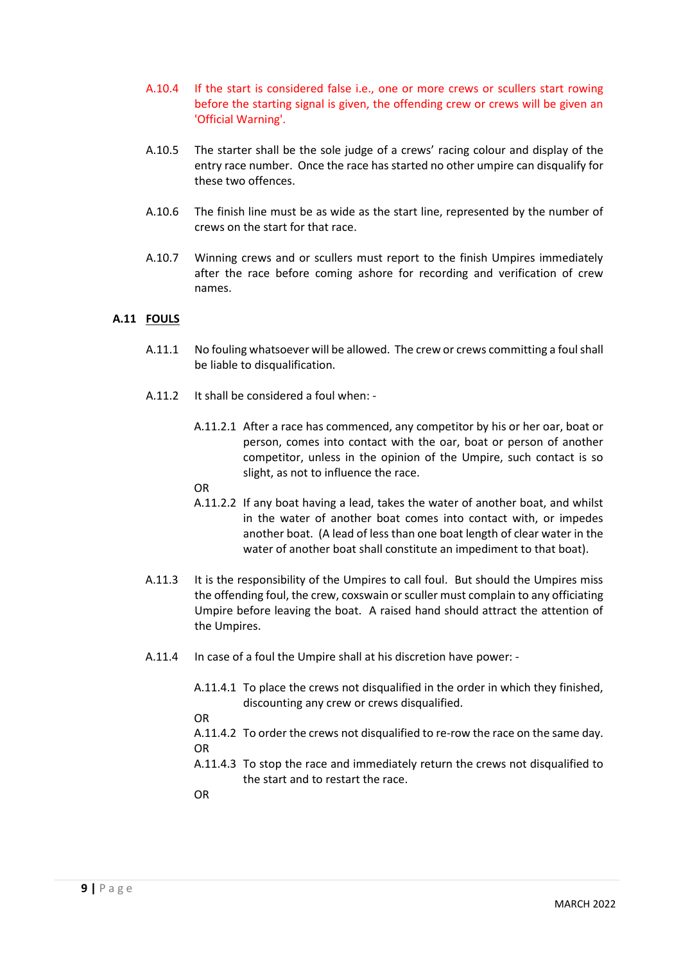- A.10.4 If the start is considered false i.e., one or more crews or scullers start rowing before the starting signal is given, the offending crew or crews will be given an 'Official Warning'.
- A.10.5 The starter shall be the sole judge of a crews' racing colour and display of the entry race number. Once the race has started no other umpire can disqualify for these two offences.
- A.10.6 The finish line must be as wide as the start line, represented by the number of crews on the start for that race.
- A.10.7 Winning crews and or scullers must report to the finish Umpires immediately after the race before coming ashore for recording and verification of crew names.

## **A.11 FOULS**

- A.11.1 No fouling whatsoever will be allowed. The crew or crews committing a foul shall be liable to disqualification.
- A.11.2 It shall be considered a foul when:
	- A.11.2.1 After a race has commenced, any competitor by his or her oar, boat or person, comes into contact with the oar, boat or person of another competitor, unless in the opinion of the Umpire, such contact is so slight, as not to influence the race.
	- OR
	- A.11.2.2 If any boat having a lead, takes the water of another boat, and whilst in the water of another boat comes into contact with, or impedes another boat. (A lead of less than one boat length of clear water in the water of another boat shall constitute an impediment to that boat).
- A.11.3 It is the responsibility of the Umpires to call foul. But should the Umpires miss the offending foul, the crew, coxswain or sculler must complain to any officiating Umpire before leaving the boat. A raised hand should attract the attention of the Umpires.
- A.11.4 In case of a foul the Umpire shall at his discretion have power:
	- A.11.4.1 To place the crews not disqualified in the order in which they finished, discounting any crew or crews disqualified.

OR

- A.11.4.2 To order the crews not disqualified to re-row the race on the same day. OR
- A.11.4.3 To stop the race and immediately return the crews not disqualified to the start and to restart the race.

OR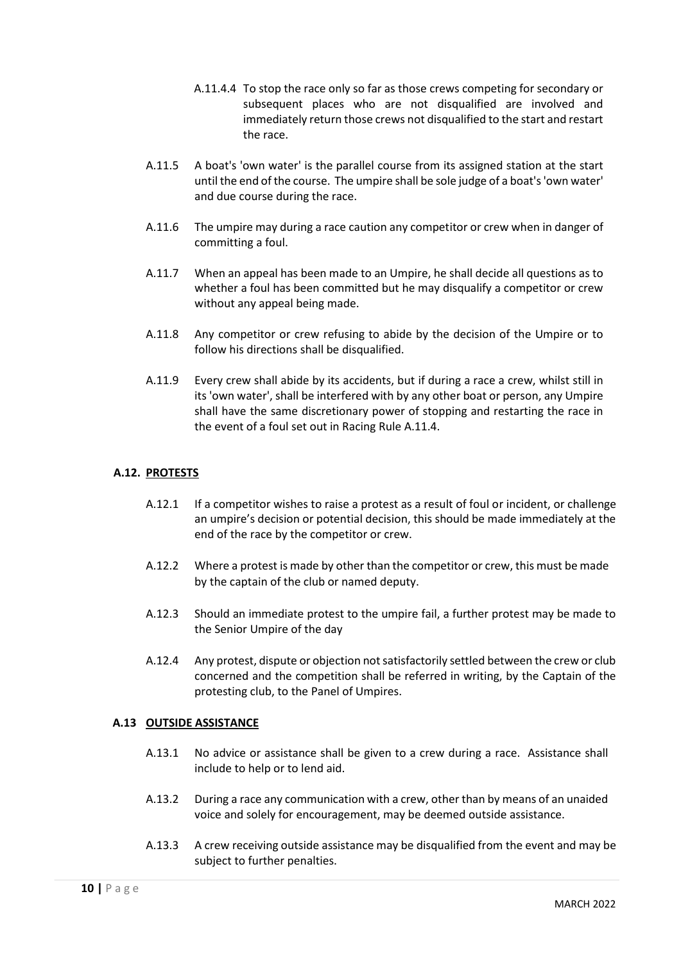- A.11.4.4 To stop the race only so far as those crews competing for secondary or subsequent places who are not disqualified are involved and immediately return those crews not disqualified to the start and restart the race.
- A.11.5 A boat's 'own water' is the parallel course from its assigned station at the start until the end of the course. The umpire shall be sole judge of a boat's 'own water' and due course during the race.
- A.11.6 The umpire may during a race caution any competitor or crew when in danger of committing a foul.
- A.11.7 When an appeal has been made to an Umpire, he shall decide all questions as to whether a foul has been committed but he may disqualify a competitor or crew without any appeal being made.
- A.11.8 Any competitor or crew refusing to abide by the decision of the Umpire or to follow his directions shall be disqualified.
- A.11.9 Every crew shall abide by its accidents, but if during a race a crew, whilst still in its 'own water', shall be interfered with by any other boat or person, any Umpire shall have the same discretionary power of stopping and restarting the race in the event of a foul set out in Racing Rule A.11.4.

## **A.12. PROTESTS**

- A.12.1 If a competitor wishes to raise a protest as a result of foul or incident, or challenge an umpire's decision or potential decision, this should be made immediately at the end of the race by the competitor or crew.
- A.12.2 Where a protest is made by other than the competitor or crew, this must be made by the captain of the club or named deputy.
- A.12.3 Should an immediate protest to the umpire fail, a further protest may be made to the Senior Umpire of the day
- A.12.4 Any protest, dispute or objection not satisfactorily settled between the crew or club concerned and the competition shall be referred in writing, by the Captain of the protesting club, to the Panel of Umpires.

### **A.13 OUTSIDE ASSISTANCE**

- A.13.1 No advice or assistance shall be given to a crew during a race. Assistance shall include to help or to lend aid.
- A.13.2 During a race any communication with a crew, other than by means of an unaided voice and solely for encouragement, may be deemed outside assistance.
- A.13.3 A crew receiving outside assistance may be disqualified from the event and may be subject to further penalties.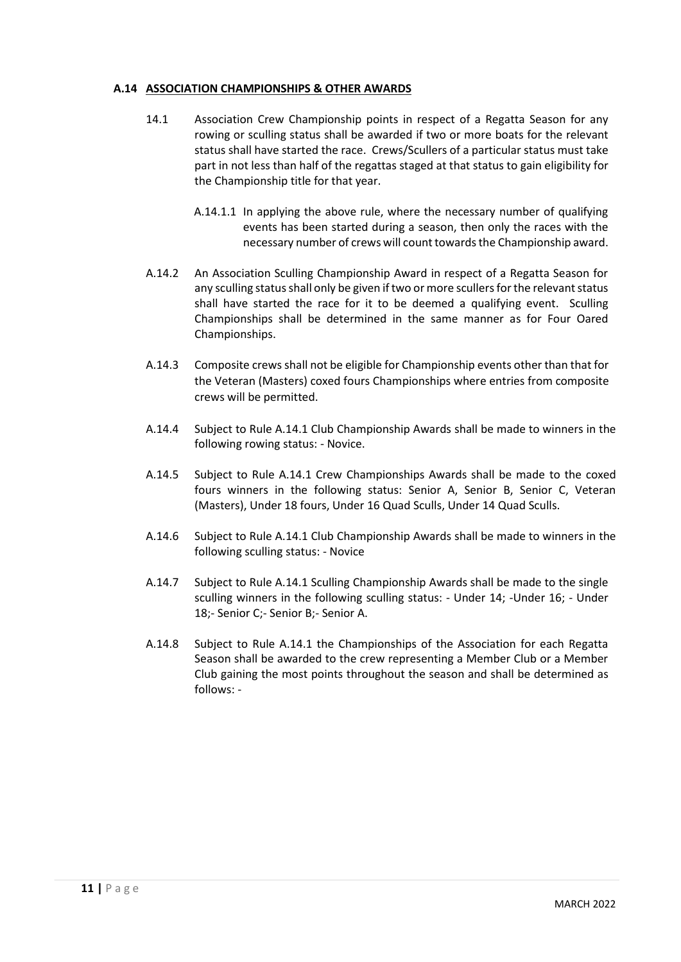## **A.14 ASSOCIATION CHAMPIONSHIPS & OTHER AWARDS**

- 14.1 Association Crew Championship points in respect of a Regatta Season for any rowing or sculling status shall be awarded if two or more boats for the relevant status shall have started the race. Crews/Scullers of a particular status must take part in not less than half of the regattas staged at that status to gain eligibility for the Championship title for that year.
	- A.14.1.1 In applying the above rule, where the necessary number of qualifying events has been started during a season, then only the races with the necessary number of crews will count towards the Championship award.
- A.14.2 An Association Sculling Championship Award in respect of a Regatta Season for any sculling status shall only be given if two or more scullers for the relevant status shall have started the race for it to be deemed a qualifying event. Sculling Championships shall be determined in the same manner as for Four Oared Championships.
- A.14.3 Composite crews shall not be eligible for Championship events other than that for the Veteran (Masters) coxed fours Championships where entries from composite crews will be permitted.
- A.14.4 Subject to Rule A.14.1 Club Championship Awards shall be made to winners in the following rowing status: - Novice.
- A.14.5 Subject to Rule A.14.1 Crew Championships Awards shall be made to the coxed fours winners in the following status: Senior A, Senior B, Senior C, Veteran (Masters), Under 18 fours, Under 16 Quad Sculls, Under 14 Quad Sculls.
- A.14.6 Subject to Rule A.14.1 Club Championship Awards shall be made to winners in the following sculling status: - Novice
- A.14.7 Subject to Rule A.14.1 Sculling Championship Awards shall be made to the single sculling winners in the following sculling status: - Under 14; -Under 16; - Under 18;- Senior C;- Senior B;- Senior A.
- A.14.8 Subject to Rule A.14.1 the Championships of the Association for each Regatta Season shall be awarded to the crew representing a Member Club or a Member Club gaining the most points throughout the season and shall be determined as follows: -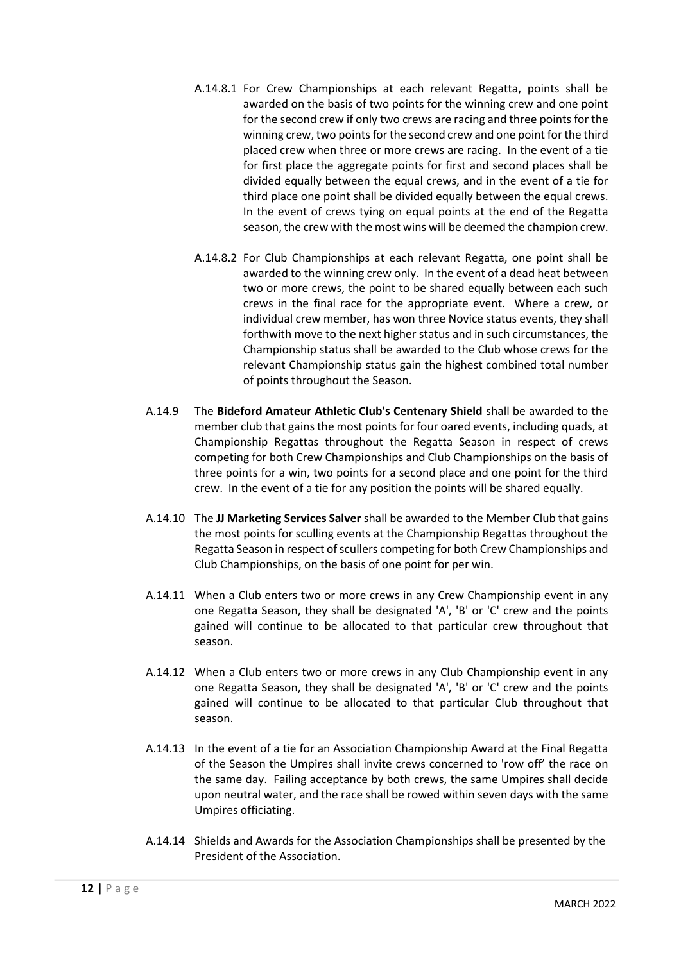- A.14.8.1 For Crew Championships at each relevant Regatta, points shall be awarded on the basis of two points for the winning crew and one point for the second crew if only two crews are racing and three points for the winning crew, two points for the second crew and one point for the third placed crew when three or more crews are racing. In the event of a tie for first place the aggregate points for first and second places shall be divided equally between the equal crews, and in the event of a tie for third place one point shall be divided equally between the equal crews. In the event of crews tying on equal points at the end of the Regatta season, the crew with the most wins will be deemed the champion crew.
- A.14.8.2 For Club Championships at each relevant Regatta, one point shall be awarded to the winning crew only. In the event of a dead heat between two or more crews, the point to be shared equally between each such crews in the final race for the appropriate event. Where a crew, or individual crew member, has won three Novice status events, they shall forthwith move to the next higher status and in such circumstances, the Championship status shall be awarded to the Club whose crews for the relevant Championship status gain the highest combined total number of points throughout the Season.
- A.14.9 The **Bideford Amateur Athletic Club's Centenary Shield** shall be awarded to the member club that gains the most points for four oared events, including quads, at Championship Regattas throughout the Regatta Season in respect of crews competing for both Crew Championships and Club Championships on the basis of three points for a win, two points for a second place and one point for the third crew. In the event of a tie for any position the points will be shared equally.
- A.14.10 The **JJ Marketing Services Salver** shall be awarded to the Member Club that gains the most points for sculling events at the Championship Regattas throughout the Regatta Season in respect of scullers competing for both Crew Championships and Club Championships, on the basis of one point for per win.
- A.14.11 When a Club enters two or more crews in any Crew Championship event in any one Regatta Season, they shall be designated 'A', 'B' or 'C' crew and the points gained will continue to be allocated to that particular crew throughout that season.
- A.14.12 When a Club enters two or more crews in any Club Championship event in any one Regatta Season, they shall be designated 'A', 'B' or 'C' crew and the points gained will continue to be allocated to that particular Club throughout that season.
- A.14.13 In the event of a tie for an Association Championship Award at the Final Regatta of the Season the Umpires shall invite crews concerned to 'row off' the race on the same day. Failing acceptance by both crews, the same Umpires shall decide upon neutral water, and the race shall be rowed within seven days with the same Umpires officiating.
- A.14.14 Shields and Awards for the Association Championships shall be presented by the President of the Association.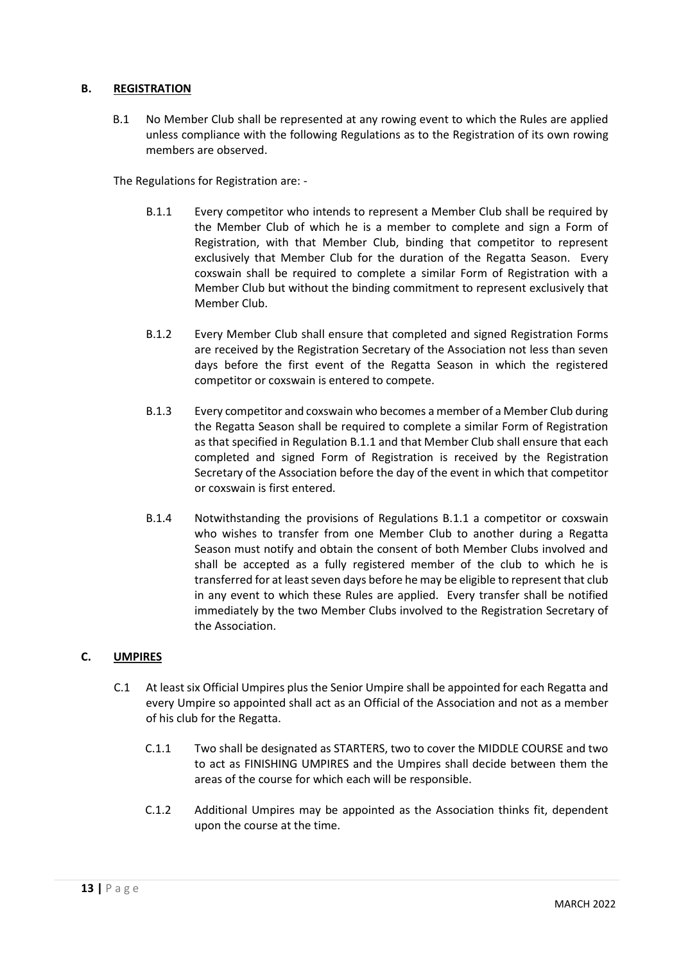### **B. REGISTRATION**

B.1 No Member Club shall be represented at any rowing event to which the Rules are applied unless compliance with the following Regulations as to the Registration of its own rowing members are observed.

The Regulations for Registration are: -

- B.1.1 Every competitor who intends to represent a Member Club shall be required by the Member Club of which he is a member to complete and sign a Form of Registration, with that Member Club, binding that competitor to represent exclusively that Member Club for the duration of the Regatta Season. Every coxswain shall be required to complete a similar Form of Registration with a Member Club but without the binding commitment to represent exclusively that Member Club.
- B.1.2 Every Member Club shall ensure that completed and signed Registration Forms are received by the Registration Secretary of the Association not less than seven days before the first event of the Regatta Season in which the registered competitor or coxswain is entered to compete.
- B.1.3 Every competitor and coxswain who becomes a member of a Member Club during the Regatta Season shall be required to complete a similar Form of Registration as that specified in Regulation B.1.1 and that Member Club shall ensure that each completed and signed Form of Registration is received by the Registration Secretary of the Association before the day of the event in which that competitor or coxswain is first entered.
- B.1.4 Notwithstanding the provisions of Regulations B.1.1 a competitor or coxswain who wishes to transfer from one Member Club to another during a Regatta Season must notify and obtain the consent of both Member Clubs involved and shall be accepted as a fully registered member of the club to which he is transferred for at least seven days before he may be eligible to represent that club in any event to which these Rules are applied. Every transfer shall be notified immediately by the two Member Clubs involved to the Registration Secretary of the Association.

### **C. UMPIRES**

- C.1 At least six Official Umpires plus the Senior Umpire shall be appointed for each Regatta and every Umpire so appointed shall act as an Official of the Association and not as a member of his club for the Regatta.
	- C.1.1 Two shall be designated as STARTERS, two to cover the MIDDLE COURSE and two to act as FINISHING UMPIRES and the Umpires shall decide between them the areas of the course for which each will be responsible.
	- C.1.2 Additional Umpires may be appointed as the Association thinks fit, dependent upon the course at the time.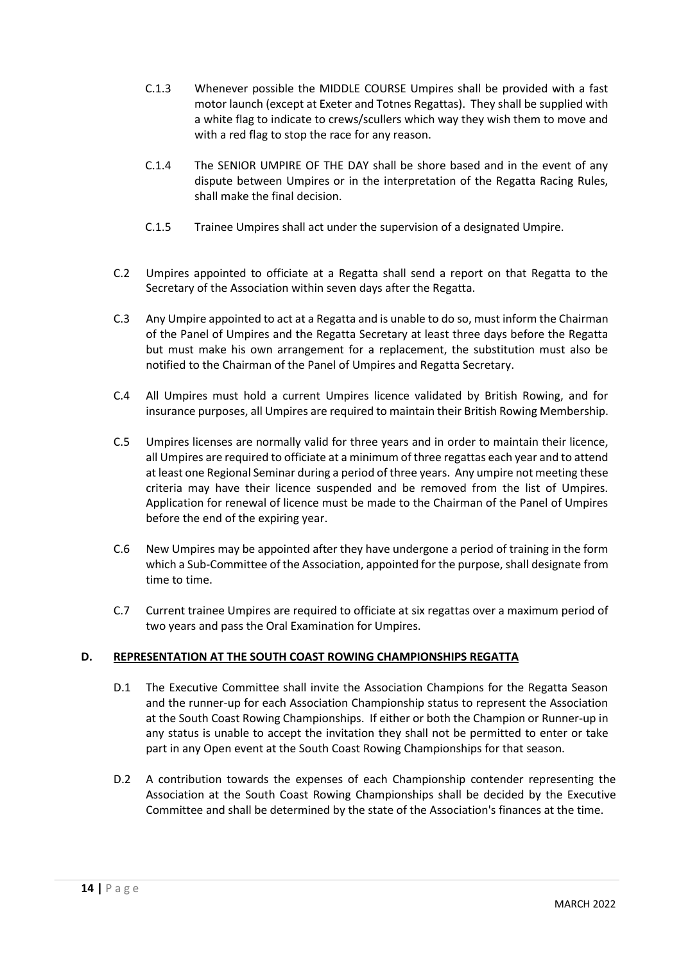- C.1.3 Whenever possible the MIDDLE COURSE Umpires shall be provided with a fast motor launch (except at Exeter and Totnes Regattas). They shall be supplied with a white flag to indicate to crews/scullers which way they wish them to move and with a red flag to stop the race for any reason.
- C.1.4 The SENIOR UMPIRE OF THE DAY shall be shore based and in the event of any dispute between Umpires or in the interpretation of the Regatta Racing Rules, shall make the final decision.
- C.1.5 Trainee Umpires shall act under the supervision of a designated Umpire.
- C.2 Umpires appointed to officiate at a Regatta shall send a report on that Regatta to the Secretary of the Association within seven days after the Regatta.
- C.3 Any Umpire appointed to act at a Regatta and is unable to do so, must inform the Chairman of the Panel of Umpires and the Regatta Secretary at least three days before the Regatta but must make his own arrangement for a replacement, the substitution must also be notified to the Chairman of the Panel of Umpires and Regatta Secretary.
- C.4 All Umpires must hold a current Umpires licence validated by British Rowing, and for insurance purposes, all Umpires are required to maintain their British Rowing Membership.
- C.5 Umpires licenses are normally valid for three years and in order to maintain their licence, all Umpires are required to officiate at a minimum of three regattas each year and to attend at least one Regional Seminar during a period of three years. Any umpire not meeting these criteria may have their licence suspended and be removed from the list of Umpires. Application for renewal of licence must be made to the Chairman of the Panel of Umpires before the end of the expiring year.
- C.6 New Umpires may be appointed after they have undergone a period of training in the form which a Sub-Committee of the Association, appointed for the purpose, shall designate from time to time.
- C.7 Current trainee Umpires are required to officiate at six regattas over a maximum period of two years and pass the Oral Examination for Umpires.

# **D. REPRESENTATION AT THE SOUTH COAST ROWING CHAMPIONSHIPS REGATTA**

- D.1 The Executive Committee shall invite the Association Champions for the Regatta Season and the runner-up for each Association Championship status to represent the Association at the South Coast Rowing Championships. If either or both the Champion or Runner-up in any status is unable to accept the invitation they shall not be permitted to enter or take part in any Open event at the South Coast Rowing Championships for that season.
- D.2 A contribution towards the expenses of each Championship contender representing the Association at the South Coast Rowing Championships shall be decided by the Executive Committee and shall be determined by the state of the Association's finances at the time.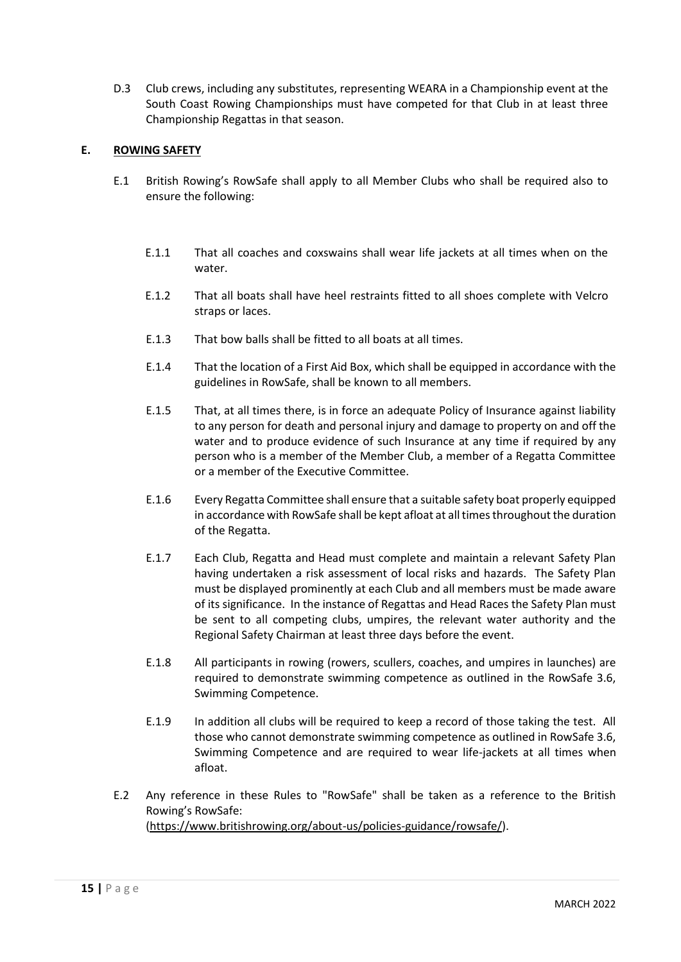D.3 Club crews, including any substitutes, representing WEARA in a Championship event at the South Coast Rowing Championships must have competed for that Club in at least three Championship Regattas in that season.

## **E. ROWING SAFETY**

- E.1 British Rowing's RowSafe shall apply to all Member Clubs who shall be required also to ensure the following:
	- E.1.1 That all coaches and coxswains shall wear life jackets at all times when on the water.
	- E.1.2 That all boats shall have heel restraints fitted to all shoes complete with Velcro straps or laces.
	- E.1.3 That bow balls shall be fitted to all boats at all times.
	- E.1.4 That the location of a First Aid Box, which shall be equipped in accordance with the guidelines in RowSafe, shall be known to all members.
	- E.1.5 That, at all times there, is in force an adequate Policy of Insurance against liability to any person for death and personal injury and damage to property on and off the water and to produce evidence of such Insurance at any time if required by any person who is a member of the Member Club, a member of a Regatta Committee or a member of the Executive Committee.
	- E.1.6 Every Regatta Committee shall ensure that a suitable safety boat properly equipped in accordance with RowSafe shall be kept afloat at all times throughout the duration of the Regatta.
	- E.1.7 Each Club, Regatta and Head must complete and maintain a relevant Safety Plan having undertaken a risk assessment of local risks and hazards. The Safety Plan must be displayed prominently at each Club and all members must be made aware of its significance. In the instance of Regattas and Head Races the Safety Plan must be sent to all competing clubs, umpires, the relevant water authority and the Regional Safety Chairman at least three days before the event.
	- E.1.8 All participants in rowing (rowers, scullers, coaches, and umpires in launches) are required to demonstrate swimming competence as outlined in the RowSafe 3.6, Swimming Competence.
	- E.1.9 In addition all clubs will be required to keep a record of those taking the test. All those who cannot demonstrate swimming competence as outlined in RowSafe 3.6, Swimming Competence and are required to wear life-jackets at all times when afloat.
- E.2 Any reference in these Rules to "RowSafe" shall be taken as a reference to the British Rowing's RowSafe: [\(https://www.britishrowing.org/about-us/policies-guidance/rowsafe/\)](https://www.britishrowing.org/about-us/policies-guidance/rowsafe/).